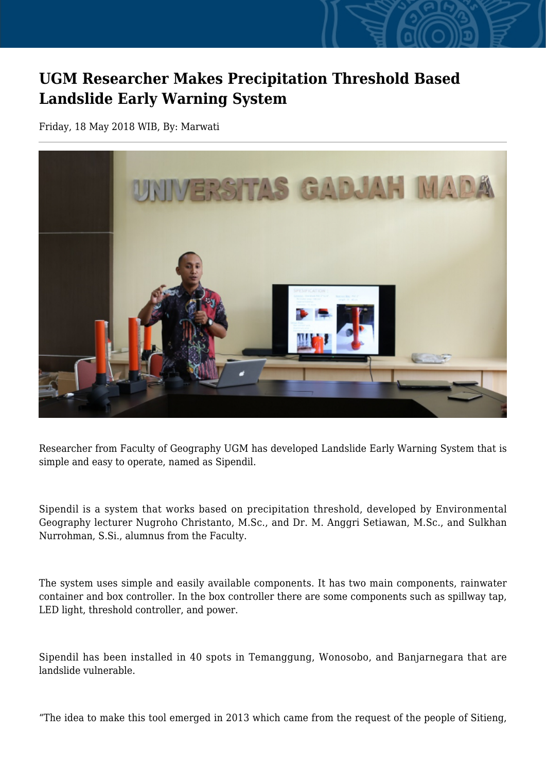## **UGM Researcher Makes Precipitation Threshold Based Landslide Early Warning System**

Friday, 18 May 2018 WIB, By: Marwati



Researcher from Faculty of Geography UGM has developed Landslide Early Warning System that is simple and easy to operate, named as Sipendil.

Sipendil is a system that works based on precipitation threshold, developed by Environmental Geography lecturer Nugroho Christanto, M.Sc., and Dr. M. Anggri Setiawan, M.Sc., and Sulkhan Nurrohman, S.Si., alumnus from the Faculty.

The system uses simple and easily available components. It has two main components, rainwater container and box controller. In the box controller there are some components such as spillway tap, LED light, threshold controller, and power.

Sipendil has been installed in 40 spots in Temanggung, Wonosobo, and Banjarnegara that are landslide vulnerable.

"The idea to make this tool emerged in 2013 which came from the request of the people of Sitieng,